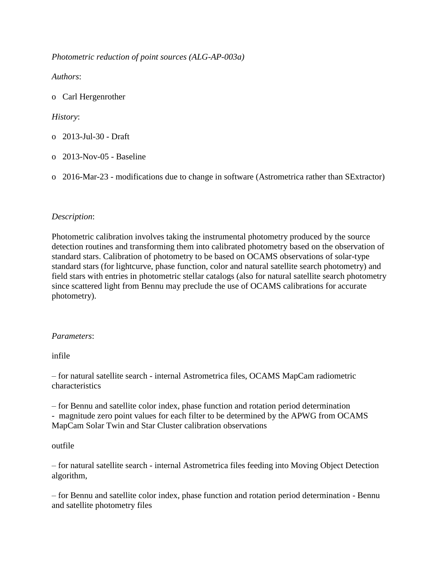*Photometric reduction of point sources (ALG-AP-003a)*

*Authors*:

o Carl Hergenrother

# *History*:

- o 2013-Jul-30 Draft
- o 2013-Nov-05 Baseline
- o 2016-Mar-23 modifications due to change in software (Astrometrica rather than SExtractor)

# *Description*:

Photometric calibration involves taking the instrumental photometry produced by the source detection routines and transforming them into calibrated photometry based on the observation of standard stars. Calibration of photometry to be based on OCAMS observations of solar-type standard stars (for lightcurve, phase function, color and natural satellite search photometry) and field stars with entries in photometric stellar catalogs (also for natural satellite search photometry since scattered light from Bennu may preclude the use of OCAMS calibrations for accurate photometry).

### *Parameters*:

infile

– for natural satellite search - internal Astrometrica files, OCAMS MapCam radiometric characteristics

– for Bennu and satellite color index, phase function and rotation period determination - magnitude zero point values for each filter to be determined by the APWG from OCAMS MapCam Solar Twin and Star Cluster calibration observations

### outfile

– for natural satellite search - internal Astrometrica files feeding into Moving Object Detection algorithm,

– for Bennu and satellite color index, phase function and rotation period determination - Bennu and satellite photometry files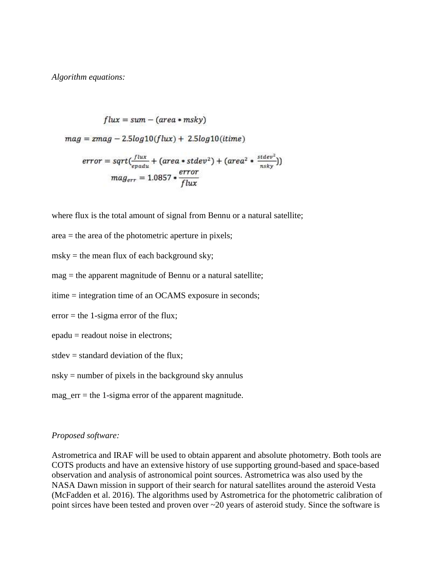*Algorithm equations:*

$$
flux = sum - (area * msky)
$$
  
\n
$$
mag = zmag - 2.5log10(flux) + 2.5log10(itime)
$$
  
\n
$$
error = sqrt(\frac{flux}{epadu} + (area * stdev^2) + (area^2 * \frac{stdev^2}{nsky}))
$$
  
\n
$$
mag_{err} = 1.0857 * \frac{error}{flux}
$$

where flux is the total amount of signal from Bennu or a natural satellite;

- area = the area of the photometric aperture in pixels;
- msky = the mean flux of each background sky;
- mag = the apparent magnitude of Bennu or a natural satellite;
- itime = integration time of an OCAMS exposure in seconds;
- error = the 1-sigma error of the flux;
- epadu = readout noise in electrons;
- stdev = standard deviation of the flux;
- nsky = number of pixels in the background sky annulus
- mag  $err =$  the 1-sigma error of the apparent magnitude.

#### *Proposed software:*

Astrometrica and IRAF will be used to obtain apparent and absolute photometry. Both tools are COTS products and have an extensive history of use supporting ground-based and space-based observation and analysis of astronomical point sources. Astrometrica was also used by the NASA Dawn mission in support of their search for natural satellites around the asteroid Vesta (McFadden et al. 2016). The algorithms used by Astrometrica for the photometric calibration of point sirces have been tested and proven over ~20 years of asteroid study. Since the software is